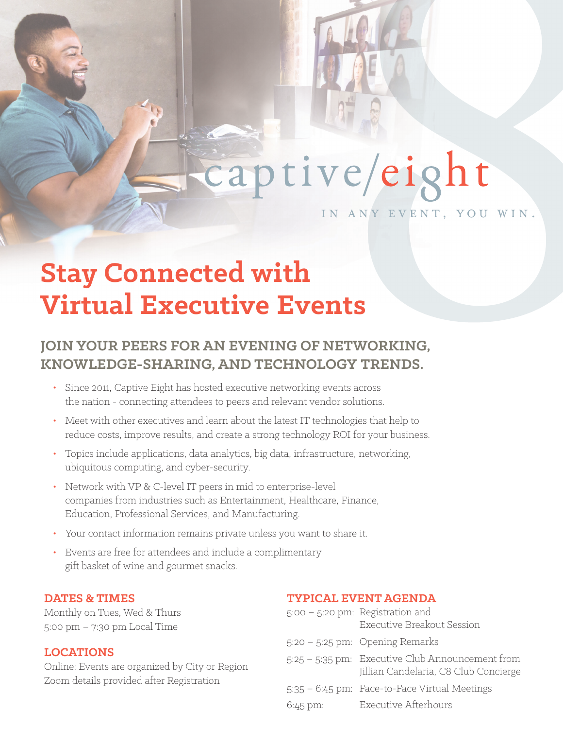

## captive/eight

in any event, you win.

### **Stay Connected with Virtual Executive Events**

### **JOIN YOUR PEERS FOR AN EVENING OF NETWORKING, KNOWLEDGE-SHARING, AND TECHNOLOGY TRENDS.**

- Since 2011, Captive Eight has hosted executive networking events across the nation - connecting attendees to peers and relevant vendor solutions.
- Meet with other executives and learn about the latest IT technologies that help to reduce costs, improve results, and create a strong technology ROI for your business.
- Topics include applications, data analytics, big data, infrastructure, networking, ubiquitous computing, and cyber-security.
- Network with VP & C-level IT peers in mid to enterprise-level companies from industries such as Entertainment, Healthcare, Finance, Education, Professional Services, and Manufacturing.
- Your contact information remains private unless you want to share it.
- Events are free for attendees and include a complimentary gift basket of wine and gourmet snacks.

### **DATES & TIMES**

Monthly on Tues, Wed & Thurs 5:00 pm – 7:30 pm Local Time

### **LOCATIONS**

Online: Events are organized by City or Region Zoom details provided after Registration

### **TYPICAL EVENT AGENDA**

|                   | $5:00 - 5:20$ pm: Registration and<br>Executive Breakout Session                          |
|-------------------|-------------------------------------------------------------------------------------------|
|                   | $5:20 - 5:25$ pm: Opening Remarks                                                         |
|                   | 5:25 - 5:35 pm: Executive Club Announcement from<br>Jillian Candelaria, C8 Club Concierge |
|                   | 5:35 - 6:45 pm: Face-to-Face Virtual Meetings                                             |
| $6:45 \text{ pm}$ | Executive Afterhours                                                                      |